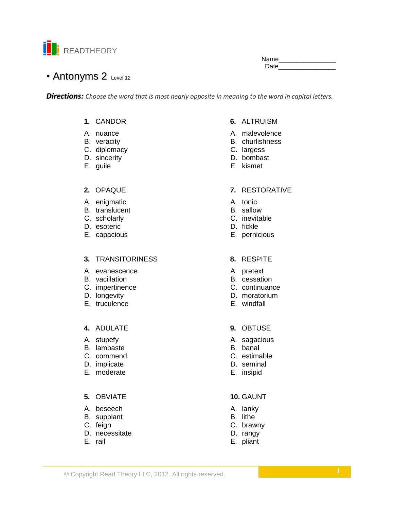

Name\_\_\_ Date and the state of the state of the state of the state of the state of the state of the state of the state o

# • Antonyms 2 Level 12

**Directions:** Choose the word that is most nearly opposite in meaning to the word in capital letters.

# 1. CANDOR

- A. nuance
- B. veracity
- C. diplomacy
- D. sincerity
- E. guile

#### 2. OPAQUE

- A. enigmatic
- B. translucent
- C. scholarly
- D. esoteric
- E. capacious

### 3. TRANSITORINESS

- A evanescence
- B. vacillation
- C. impertinence
- D. longevity
- E. truculence

### 4. ADULATE

- A. stupefy
- B. lambaste
- C. commend
- D. implicate
- E. moderate

## 5. OBVIATE

- A. beseech
- B. supplant
- C. feign
- D. necessitate
- E. rail

# 6. ALTRUISM

- A. malevolence
- B. churlishness
- C. largess
- D. bombast
- E. kismet

### 7. RESTORATIVE

- A. tonic
- B. sallow
- C. inevitable
- D. fickle
- E. pernicious

#### 8. RESPITE

- A. pretext
- B. cessation
- C. continuance
- D. moratorium
- E. windfall
- 9. OBTUSE
- A. sagacious
- B. banal
- C. estimable
- D. seminal
- E. insipid

# 10. GAUNT

- A. lanky
- B. lithe
- C. brawny
- D. rangy
- E. pliant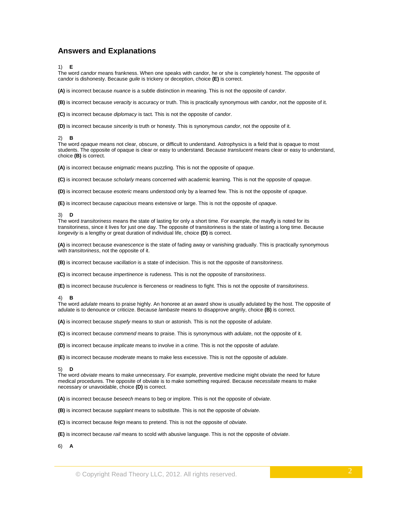## **Answers and Explanations**

1) **E**

The word *candor* means frankness. When one speaks with candor, he or she is completely honest. The opposite of candor is dishonesty. Because *guile* is trickery or deception, choice **(E)** is correct.

**(A)** is incorrect because *nuance* is a subtle distinction in meaning. This is not the opposite of *candor*.

**(B)** is incorrect because *veracity* is accuracy or truth. This is practically synonymous with *candor*, not the opposite of it.

**(C)** is incorrect because *diplomacy* is tact. This is not the opposite of *candor*.

**(D)** is incorrect because *sincerity* is truth or honesty. This is synonymous *candor*, not the opposite of it.

#### 2) **B**

The word *opaque* means not clear, obscure, or difficult to understand. Astrophysics is a field that is opaque to most students. The opposite of opaque is clear or easy to understand. Because *translucent* means clear or easy to understand, choice **(B)** is correct.

**(A)** is incorrect because *enigmatic* means puzzling. This is not the opposite of *opaque*.

**(C)** is incorrect because *scholarly* means concerned with academic learning. This is not the opposite of *opaque*.

**(D)** is incorrect because *esoteric* means understood only by a learned few. This is not the opposite of *opaque*.

**(E)** is incorrect because *capacious* means extensive or large. This is not the opposite of *opaque*.

#### 3) **D**

The word *transitoriness* means the state of lasting for only a short time. For example, the mayfly is noted for its transitoriness, since it lives for just one day. The opposite of transitoriness is the state of lasting a long time. Because *longevity* is a lengthy or great duration of individual life, choice **(D)** is correct.

**(A)** is incorrect because *evanescence* is the state of fading away or vanishing gradually. This is practically synonymous with *transitoriness*, not the opposite of it.

**(B)** is incorrect because *vacillation* is a state of indecision. This is not the opposite of *transitoriness*.

**(C)** is incorrect because *impertinence* is rudeness. This is not the opposite of *transitoriness*.

**(E)** is incorrect because *truculence* is fierceness or readiness to fight. This is not the opposite of *transitoriness*.

#### 4) **B**

The word *adulate* means to praise highly. An honoree at an award show is usually adulated by the host. The opposite of adulate is to denounce or criticize. Because *lambaste* means to disapprove angrily, choice **(B)** is correct.

**(A)** is incorrect because *stupefy* means to stun or astonish. This is not the opposite of *adulate*.

**(C)** is incorrect because *commend* means to praise. This is synonymous with *adulate*, not the opposite of it.

**(D)** is incorrect because *implicate* means to involve in a crime. This is not the opposite of *adulate*.

**(E)** is incorrect because *moderate* means to make less excessive. This is not the opposite of *adulate*.

#### 5) **D**

The word *obviate* means to make unnecessary. For example, preventive medicine might obviate the need for future medical procedures. The opposite of obviate is to make something required. Because *necessitate* means to make necessary or unavoidable, choice **(D)** is correct.

**(A)** is incorrect because *beseech* means to beg or implore. This is not the opposite of *obviate*.

**(B)** is incorrect because *supplant* means to substitute. This is not the opposite of *obviate*.

**(C)** is incorrect because *feign* means to pretend. This is not the opposite of *obviate*.

**(E)** is incorrect because *rail* means to scold with abusive language. This is not the opposite of *obviate*.

6) **A**